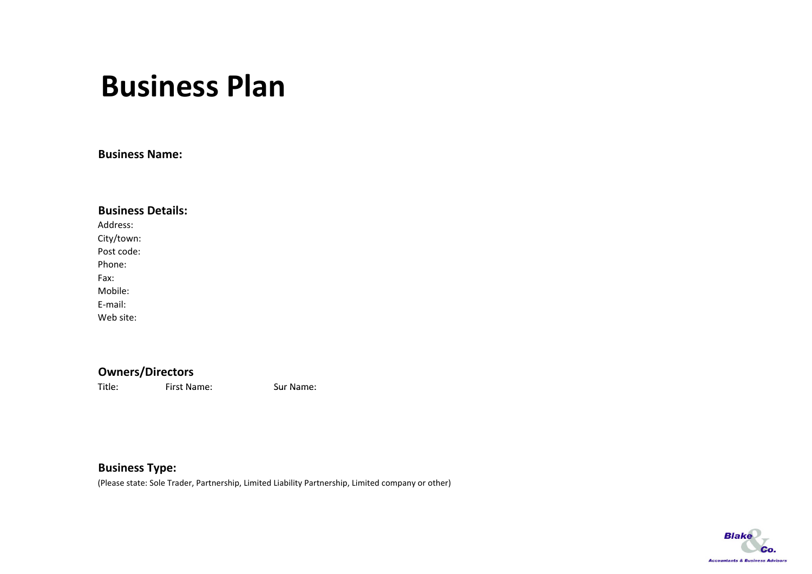## **Business Plan**

**Business Name:**

| <b>Business Details:</b> |
|--------------------------|
| sandress.                |
| City/town:               |
| Post code:               |
| Phone:                   |
| Fax <sup>.</sup>         |
| Mobile:                  |
| F-mail:                  |
| Web site:                |

### **Owners/Directors**

Title:First Name: Sur

Sur Name:

### **Business Type:**

(Please state: Sole Trader, Partnership, Limited Liability Partnership, Limited company or other)

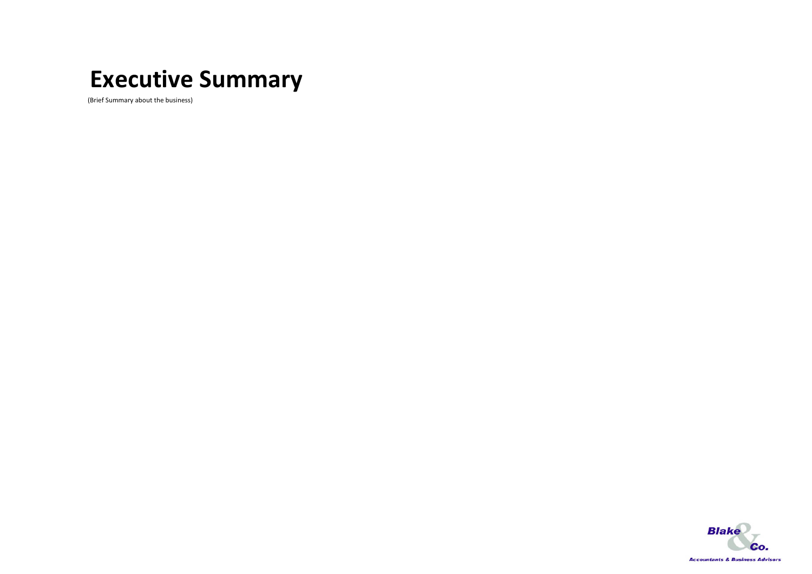### **Executive Summary**

(Brief Summary about the business)

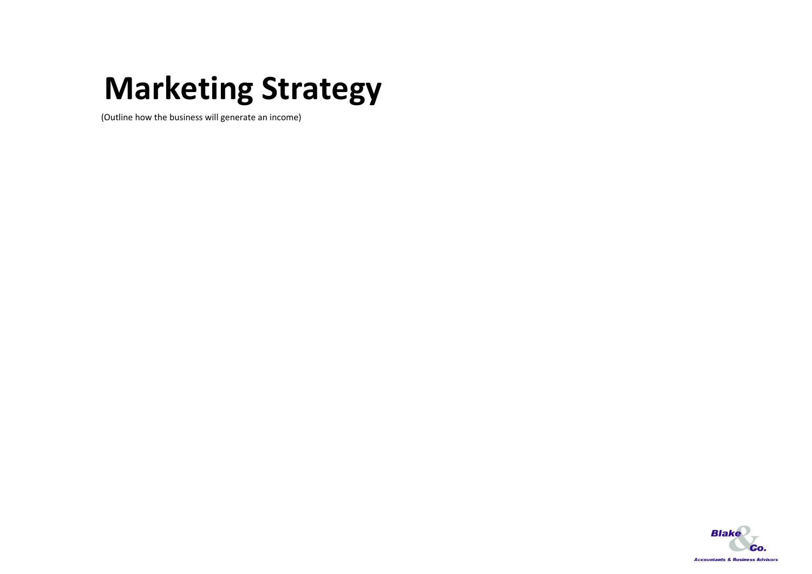# **Marketing Strategy**

(Outline how the business will generate an income)

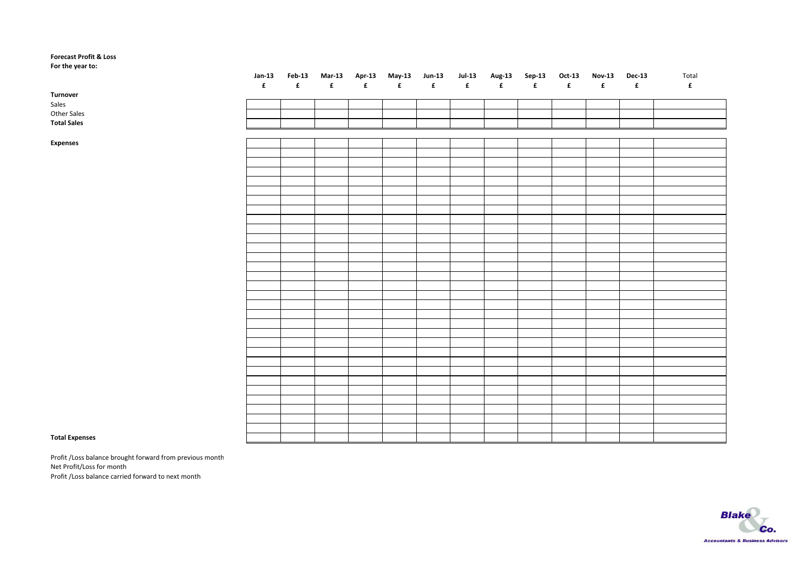#### **Forecast Profit & Loss**

**For the year to:**

|                    | $Jan-13$         |                    | Feb-13 Mar-13 Apr-13 May-13 Jun-13 |                  |                    |                  | <b>Jul-13</b>      |             | Aug-13 Sep-13 Oct-13 |   | Nov-13 Dec-13      |             | Total       |
|--------------------|------------------|--------------------|------------------------------------|------------------|--------------------|------------------|--------------------|-------------|----------------------|---|--------------------|-------------|-------------|
|                    | $\pmb{\epsilon}$ | $\pmb{\mathbf{f}}$ | $\mathbf{f}$                       | $\pmb{\epsilon}$ | $\pmb{\mathbf{f}}$ | $\pmb{\epsilon}$ | $\pmb{\mathtt{f}}$ | $\mathbf f$ | $\pmb{\mathbf{f}}$   | f | $\pmb{\mathbf{f}}$ | $\mathbf f$ | $\mathbf f$ |
| Turnover           |                  |                    |                                    |                  |                    |                  |                    |             |                      |   |                    |             |             |
| Sales              |                  |                    |                                    |                  |                    |                  |                    |             |                      |   |                    |             |             |
| Other Sales        |                  |                    |                                    |                  |                    |                  |                    |             |                      |   |                    |             |             |
| <b>Total Sales</b> |                  |                    |                                    |                  |                    |                  |                    |             |                      |   |                    |             |             |
|                    |                  |                    |                                    |                  |                    |                  |                    |             |                      |   |                    |             |             |
| Expenses           |                  |                    |                                    |                  |                    |                  |                    |             |                      |   |                    |             |             |
|                    |                  |                    |                                    |                  |                    |                  |                    |             |                      |   |                    |             |             |
|                    |                  |                    |                                    |                  |                    |                  |                    |             |                      |   |                    |             |             |
|                    |                  |                    |                                    |                  |                    |                  |                    |             |                      |   |                    |             |             |
|                    |                  |                    |                                    |                  |                    |                  |                    |             |                      |   |                    |             |             |
|                    |                  |                    |                                    |                  |                    |                  |                    |             |                      |   |                    |             |             |
|                    |                  |                    |                                    |                  |                    |                  |                    |             |                      |   |                    |             |             |
|                    |                  |                    |                                    |                  |                    |                  |                    |             |                      |   |                    |             |             |
|                    |                  |                    |                                    |                  |                    |                  |                    |             |                      |   |                    |             |             |
|                    |                  |                    |                                    |                  |                    |                  |                    |             |                      |   |                    |             |             |
|                    |                  |                    |                                    |                  |                    |                  |                    |             |                      |   |                    |             |             |
|                    |                  |                    |                                    |                  |                    |                  |                    |             |                      |   |                    |             |             |
|                    |                  |                    |                                    |                  |                    |                  |                    |             |                      |   |                    |             |             |
|                    |                  |                    |                                    |                  |                    |                  |                    |             |                      |   |                    |             |             |
|                    |                  |                    |                                    |                  |                    |                  |                    |             |                      |   |                    |             |             |
|                    |                  |                    |                                    |                  |                    |                  |                    |             |                      |   |                    |             |             |
|                    |                  |                    |                                    |                  |                    |                  |                    |             |                      |   |                    |             |             |
|                    |                  |                    |                                    |                  |                    |                  |                    |             |                      |   |                    |             |             |
|                    |                  |                    |                                    |                  |                    |                  |                    |             |                      |   |                    |             |             |
|                    |                  |                    |                                    |                  |                    |                  |                    |             |                      |   |                    |             |             |
|                    |                  |                    |                                    |                  |                    |                  |                    |             |                      |   |                    |             |             |
|                    |                  |                    |                                    |                  |                    |                  |                    |             |                      |   |                    |             |             |
|                    |                  |                    |                                    |                  |                    |                  |                    |             |                      |   |                    |             |             |
|                    |                  |                    |                                    |                  |                    |                  |                    |             |                      |   |                    |             |             |
|                    |                  |                    |                                    |                  |                    |                  |                    |             |                      |   |                    |             |             |
|                    |                  |                    |                                    |                  |                    |                  |                    |             |                      |   |                    |             |             |
|                    |                  |                    |                                    |                  |                    |                  |                    |             |                      |   |                    |             |             |
|                    |                  |                    |                                    |                  |                    |                  |                    |             |                      |   |                    |             |             |
|                    |                  |                    |                                    |                  |                    |                  |                    |             |                      |   |                    |             |             |
|                    |                  |                    |                                    |                  |                    |                  |                    |             |                      |   |                    |             |             |
|                    |                  |                    |                                    |                  |                    |                  |                    |             |                      |   |                    |             |             |

#### **Total Expenses**

Profit /Loss balance brought forward from previous month Net Profit/Loss for month Profit /Loss balance carried forward to next month

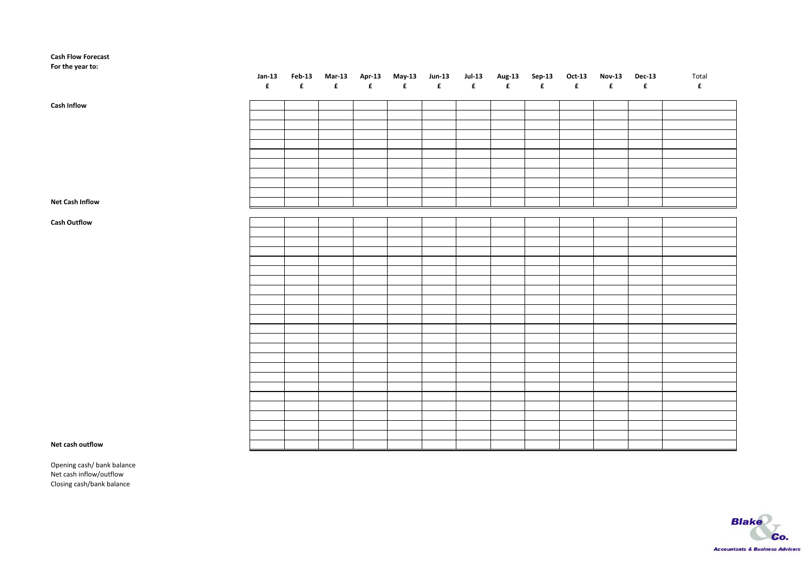#### **Cash Flow Forecast**

**For the year to:**

|                        |  |  |  |  |  |  | Jan-13 Feb-13 Mar-13 Apr-13 May-13 Jun-13 Jul-13 Aug-13 Sep-13 Oct-13 Nov-13 Dec-13 Total |
|------------------------|--|--|--|--|--|--|-------------------------------------------------------------------------------------------|
| <b>Cash Inflow</b>     |  |  |  |  |  |  |                                                                                           |
|                        |  |  |  |  |  |  |                                                                                           |
|                        |  |  |  |  |  |  |                                                                                           |
|                        |  |  |  |  |  |  |                                                                                           |
|                        |  |  |  |  |  |  |                                                                                           |
|                        |  |  |  |  |  |  |                                                                                           |
|                        |  |  |  |  |  |  |                                                                                           |
|                        |  |  |  |  |  |  |                                                                                           |
| <b>Net Cash Inflow</b> |  |  |  |  |  |  |                                                                                           |
|                        |  |  |  |  |  |  |                                                                                           |
| <b>Cash Outflow</b>    |  |  |  |  |  |  |                                                                                           |
|                        |  |  |  |  |  |  |                                                                                           |
|                        |  |  |  |  |  |  |                                                                                           |
|                        |  |  |  |  |  |  |                                                                                           |
|                        |  |  |  |  |  |  |                                                                                           |
|                        |  |  |  |  |  |  |                                                                                           |
|                        |  |  |  |  |  |  |                                                                                           |
|                        |  |  |  |  |  |  |                                                                                           |
|                        |  |  |  |  |  |  |                                                                                           |
|                        |  |  |  |  |  |  |                                                                                           |
|                        |  |  |  |  |  |  |                                                                                           |
|                        |  |  |  |  |  |  |                                                                                           |
|                        |  |  |  |  |  |  |                                                                                           |
|                        |  |  |  |  |  |  |                                                                                           |
|                        |  |  |  |  |  |  |                                                                                           |
|                        |  |  |  |  |  |  |                                                                                           |
|                        |  |  |  |  |  |  |                                                                                           |
|                        |  |  |  |  |  |  |                                                                                           |
| Net cash outflow       |  |  |  |  |  |  |                                                                                           |
|                        |  |  |  |  |  |  |                                                                                           |

#### **Net cash**

Opening cash/ bank balance Net cash inflow/outflow Closing cash/bank balance

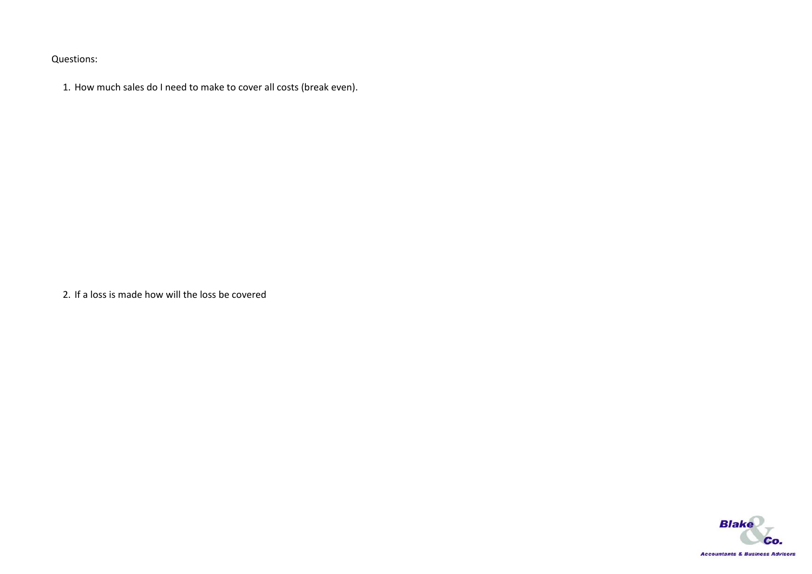Questions:

1. How much sales do I need to make to cover all costs (break even).

2. If a loss is made how will the loss be covered